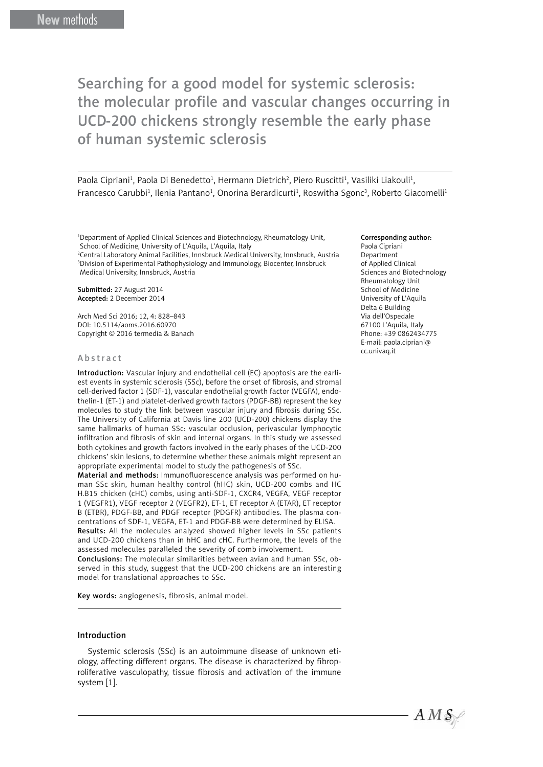Paola Cipriani<sup>1</sup>, Paola Di Benedetto<sup>1</sup>, Hermann Dietrich<sup>2</sup>, Piero Ruscitti<sup>1</sup>, Vasiliki Liakouli<sup>1</sup>, Francesco Carubbi<sup>1</sup>, Ilenia Pantano<sup>1</sup>, Onorina Berardicurti<sup>1</sup>, Roswitha Sgonc<sup>3</sup>, Roberto Giacomelli<sup>1</sup>

<sup>1</sup>Department of Applied Clinical Sciences and Biotechnology, Rheumatology Unit, School of Medicine, University of L'Aquila, L'Aquila, Italy

2 Central Laboratory Animal Facilities, Innsbruck Medical University, Innsbruck, Austria 3 Division of Experimental Pathophysiology and Immunology, Biocenter, Innsbruck Medical University, Innsbruck, Austria

Submitted: 27 August 2014 Accepted: 2 December 2014

Arch Med Sci 2016; 12, 4: 828–843 DOI: 10.5114/aoms.2016.60970 Copyright © 2016 termedia & Banach

#### Abstract

Introduction: Vascular injury and endothelial cell (EC) apoptosis are the earliest events in systemic sclerosis (SSc), before the onset of fibrosis, and stromal cell-derived factor 1 (SDF-1), vascular endothelial growth factor (VEGFA), endothelin-1 (ET-1) and platelet-derived growth factors (PDGF-BB) represent the key molecules to study the link between vascular injury and fibrosis during SSc. The University of California at Davis line 200 (UCD-200) chickens display the same hallmarks of human SSc: vascular occlusion, perivascular lymphocytic infiltration and fibrosis of skin and internal organs. In this study we assessed both cytokines and growth factors involved in the early phases of the UCD-200 chickens' skin lesions, to determine whether these animals might represent an appropriate experimental model to study the pathogenesis of SSc.

Material and methods: Immunofluorescence analysis was performed on human SSc skin, human healthy control (hHC) skin, UCD-200 combs and HC H.B15 chicken (cHC) combs, using anti-SDF-1, CXCR4, VEGFA, VEGF receptor 1 (VEGFR1), VEGF receptor 2 (VEGFR2), ET-1, ET receptor A (ETAR), ET receptor B (ETBR), PDGF-BB, and PDGF receptor (PDGFR) antibodies. The plasma concentrations of SDF-1, VEGFA, ET-1 and PDGF-BB were determined by ELISA. Results: All the molecules analyzed showed higher levels in SSc patients and UCD-200 chickens than in hHC and cHC. Furthermore, the levels of the assessed molecules paralleled the severity of comb involvement.

Conclusions: The molecular similarities between avian and human SSc, observed in this study, suggest that the UCD-200 chickens are an interesting model for translational approaches to SSc.

Key words: angiogenesis, fibrosis, animal model.

# Introduction

Systemic sclerosis (SSc) is an autoimmune disease of unknown etiology, affecting different organs. The disease is characterized by fibroproliferative vasculopathy, tissue fibrosis and activation of the immune system [1].

#### Corresponding author:

Paola Cipriani Department of Applied Clinical Sciences and Biotechnology Rheumatology Unit School of Medicine University of L'Aquila Delta 6 Building Via dell'Ospedale 67100 L'Aquila, Italy Phone: +39 0862434775 E-mail: [paola.cipriani@](mailto:paola.cipriani@cc.univaq.it) [cc.univaq.it](mailto:paola.cipriani@cc.univaq.it)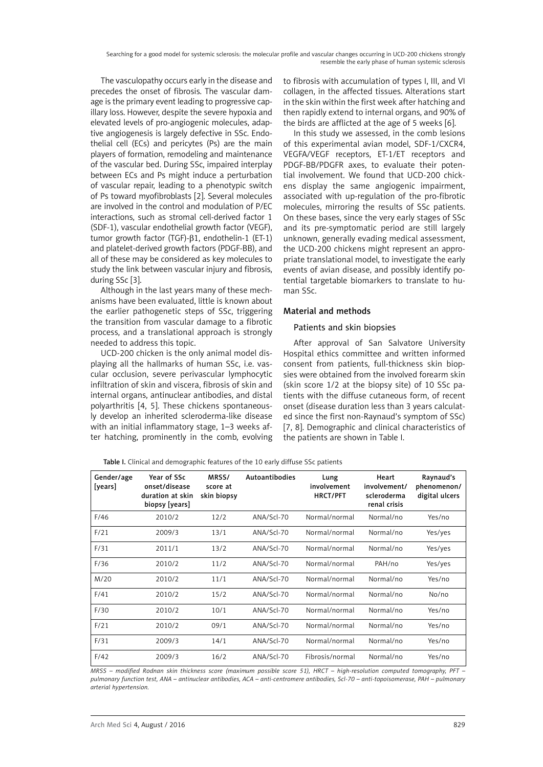The vasculopathy occurs early in the disease and precedes the onset of fibrosis. The vascular damage is the primary event leading to progressive capillary loss. However, despite the severe hypoxia and elevated levels of pro-angiogenic molecules, adaptive angiogenesis is largely defective in SSc. Endothelial cell (ECs) and pericytes (Ps) are the main players of formation, remodeling and maintenance of the vascular bed. During SSc, impaired interplay between ECs and Ps might induce a perturbation of vascular repair, leading to a phenotypic switch of Ps toward myofibroblasts [2]. Several molecules are involved in the control and modulation of P/EC interactions, such as stromal cell-derived factor 1 (SDF-1), vascular endothelial growth factor (VEGF), tumor growth factor (TGF)-β1, endothelin-1 (ET-1) and platelet-derived growth factors (PDGF-BB), and all of these may be considered as key molecules to study the link between vascular injury and fibrosis, during SSc [3].

Although in the last years many of these mechanisms have been evaluated, little is known about the earlier pathogenetic steps of SSc, triggering the transition from vascular damage to a fibrotic process, and a translational approach is strongly needed to address this topic.

UCD-200 chicken is the only animal model displaying all the hallmarks of human SSc, i.e. vascular occlusion, severe perivascular lymphocytic infiltration of skin and viscera, fibrosis of skin and internal organs, antinuclear antibodies, and distal polyarthritis [4, 5]. These chickens spontaneously develop an inherited scleroderma-like disease with an initial inflammatory stage, 1–3 weeks after hatching, prominently in the comb, evolving to fibrosis with accumulation of types I, III, and VI collagen, in the affected tissues. Alterations start in the skin within the first week after hatching and then rapidly extend to internal organs, and 90% of the birds are afflicted at the age of 5 weeks [6].

In this study we assessed, in the comb lesions of this experimental avian model, SDF-1/CXCR4, VEGFA/VEGF receptors, ET-1/ET receptors and PDGF-BB/PDGFR axes, to evaluate their potential involvement. We found that UCD-200 chickens display the same angiogenic impairment, associated with up-regulation of the pro-fibrotic molecules, mirroring the results of SSc patients. On these bases, since the very early stages of SSc and its pre-symptomatic period are still largely unknown, generally evading medical assessment, the UCD-200 chickens might represent an appropriate translational model, to investigate the early events of avian disease, and possibly identify potential targetable biomarkers to translate to human SSc.

# Material and methods

# Patients and skin biopsies

After approval of San Salvatore University Hospital ethics committee and written informed consent from patients, full-thickness skin biopsies were obtained from the involved forearm skin (skin score 1/2 at the biopsy site) of 10 SSc patients with the diffuse cutaneous form, of recent onset (disease duration less than 3 years calculated since the first non-Raynaud's symptom of SSc) [7, 8]. Demographic and clinical characteristics of the patients are shown in Table I.

Table I. Clinical and demographic features of the 10 early diffuse SSc patients

| Gender/age<br>[years] | Year of SSc<br>onset/disease<br>duration at skin<br>biopsy [years] | MRSS/<br>score at<br>skin biopsy | Autoantibodies | Lung<br>involvement<br><b>HRCT/PFT</b> | Heart<br>involvement/<br>scleroderma<br>renal crisis | Raynaud's<br>phenomenon/<br>digital ulcers |
|-----------------------|--------------------------------------------------------------------|----------------------------------|----------------|----------------------------------------|------------------------------------------------------|--------------------------------------------|
| F/46                  | 2010/2                                                             | 12/2                             | ANA/Scl-70     | Normal/normal                          | Normal/no                                            | Yes/no                                     |
| F/21                  | 2009/3                                                             | 13/1                             | ANA/Scl-70     | Normal/normal                          | Normal/no                                            | Yes/yes                                    |
| F/31                  | 2011/1                                                             | 13/2                             | ANA/Scl-70     | Normal/normal                          | Normal/no                                            | Yes/yes                                    |
| F/36                  | 2010/2                                                             | 11/2                             | ANA/Scl-70     | Normal/normal                          | PAH/no                                               | Yes/yes                                    |
| M/20                  | 2010/2                                                             | 11/1                             | ANA/Scl-70     | Normal/normal                          | Normal/no                                            | Yes/no                                     |
| F/41                  | 2010/2                                                             | 15/2                             | ANA/Scl-70     | Normal/normal                          | Normal/no                                            | No/no                                      |
| F/30                  | 2010/2                                                             | 10/1                             | ANA/Scl-70     | Normal/normal                          | Normal/no                                            | Yes/no                                     |
| F/21                  | 2010/2                                                             | 09/1                             | ANA/Scl-70     | Normal/normal                          | Normal/no                                            | Yes/no                                     |
| F/31                  | 2009/3                                                             | 14/1                             | ANA/Scl-70     | Normal/normal                          | Normal/no                                            | Yes/no                                     |
| F/42                  | 2009/3                                                             | 16/2                             | ANA/Scl-70     | Fibrosis/normal                        | Normal/no                                            | Yes/no                                     |

*MRSS – modified Rodnan skin thickness score (maximum possible score 51), HRCT – high-resolution computed tomography, PFT – pulmonary function test, ANA – antinuclear antibodies, ACA – anti-centromere antibodies, Scl-70 – anti-topoisomerase, PAH – pulmonary arterial hypertension.*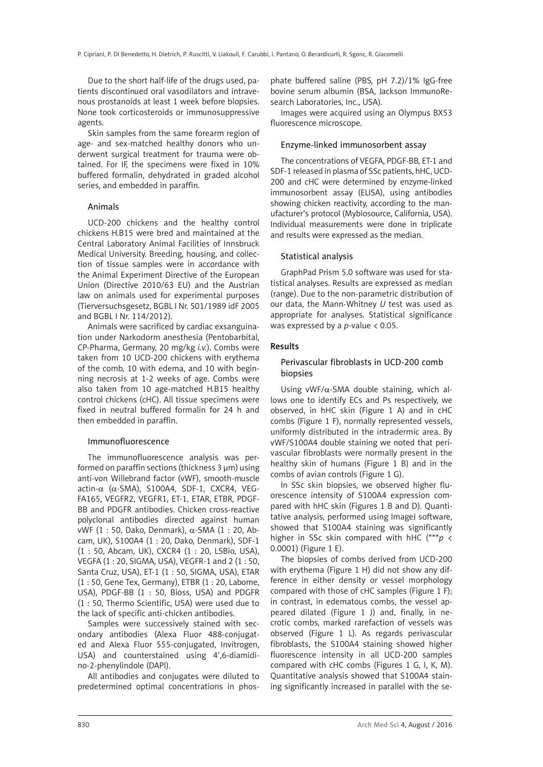Due to the short half-life of the drugs used, patients discontinued oral vasodilators and intravenous prostanoids at least 1 week before biopsies. None took corticosteroids or immunosuppressive agents.

Skin samples from the same forearm region of age- and sex-matched healthy donors who underwent surgical treatment for trauma were obtained. For IF, the specimens were fixed in 10% buffered formalin, dehydrated in graded alcohol series, and embedded in paraffin.

# Animals

UCD-200 chickens and the healthy control chickens H.B15 were bred and maintained at the Central Laboratory Animal Facilities of Innsbruck Medical University. Breeding, housing, and collection of tissue samples were in accordance with the Animal Experiment Directive of the European Union (Directive 2010/63 EU) and the Austrian law on animals used for experimental purposes (Tierversuchsgesetz, BGBL I Nr. 501/1989 idF 2005 and BGBL I Nr. 114/2012).

Animals were sacrificed by cardiac exsanguination under Narkodorm anesthesia (Pentobarbital, CP-Pharma, Germany, 20 mg/kg *i.v.*). Combs were taken from 10 UCD-200 chickens with erythema of the comb, 10 with edema, and 10 with beginning necrosis at 1-2 weeks of age. Combs were also taken from 10 age-matched H.B15 healthy control chickens (cHC). All tissue specimens were fixed in neutral buffered formalin for 24 h and then embedded in paraffin.

#### Immunofluorescence

The immunofluorescence analysis was performed on paraffin sections (thickness 3 µm) using anti-von Willebrand factor (vWF), smooth-muscle actin- $\alpha$  ( $\alpha$ -SMA), S100A4, SDF-1, CXCR4, VEG-FA165, VEGFR2, VEGFR1, ET-1, ETAR, ETBR, PDGF-BB and PDGFR antibodies. Chicken cross-reactive polyclonal antibodies directed against human vWF (1 : 50, Dako, Denmark), α-SMA (1 : 20, Abcam, UK), S100A4 (1 : 20, Dako, Denmark), SDF-1 (1 : 50, Abcam, UK), CXCR4 (1 : 20, LSBio, USA), VEGFA (1 : 20, SIGMA, USA), VEGFR-1 and 2 (1 : 50, Santa Cruz, USA), ET-1 (1 : 50, SIGMA, USA), ETAR (1 : 50, Gene Tex, Germany), ETBR (1 : 20, Labome, USA), PDGF-BB (1 : 50, Bioss, USA) and PDGFR (1 : 50, Thermo Scientific, USA) were used due to the lack of specific anti-chicken antibodies.

Samples were successively stained with secondary antibodies (Alexa Fluor 488-conjugated and Alexa Fluor 555-conjugated, Invitrogen, USA) and counterstained using 4',6-diamidino-2-phenylindole (DAPI).

All antibodies and conjugates were diluted to predetermined optimal concentrations in phos-

phate buffered saline (PBS, pH 7.2)/1% IgG-free bovine serum albumin (BSA, Jackson ImmunoResearch Laboratories, Inc., USA).

Images were acquired using an Olympus BX53 fluorescence microscope.

# Enzyme-linked immunosorbent assay

The concentrations of VEGFA, PDGF-BB, ET-1 and SDF-1 released in plasma of SSc patients, hHC, UCD-200 and cHC were determined by enzyme-linked immunosorbent assay (ELISA), using antibodies showing chicken reactivity, according to the manufacturer's protocol (Mybiosource, California, USA). Individual measurements were done in triplicate and results were expressed as the median.

# Statistical analysis

GraphPad Prism 5.0 software was used for statistical analyses. Results are expressed as median (range). Due to the non-parametric distribution of our data, the Mann-Whitney *U* test was used as appropriate for analyses. Statistical significance was expressed by a *p*-value < 0.05.

# Results

# Perivascular fibroblasts in UCD-200 comb biopsies

Using vWF/ $\alpha$ -SMA double staining, which allows one to identify ECs and Ps respectively, we observed, in hHC skin (Figure 1 A) and in cHC combs (Figure 1 F), normally represented vessels, uniformly distributed in the intradermic area. By vWF/S100A4 double staining we noted that perivascular fibroblasts were normally present in the healthy skin of humans (Figure 1 B) and in the combs of avian controls (Figure 1 G).

In SSc skin biopsies, we observed higher fluorescence intensity of S100A4 expression compared with hHC skin (Figures 1 B and D). Quantitative analysis, performed using ImageJ software, showed that S100A4 staining was significantly higher in SSc skin compared with hHC (\*\*\**p* < 0.0001) (Figure 1 E).

The biopsies of combs derived from UCD-200 with erythema (Figure 1 H) did not show any difference in either density or vessel morphology compared with those of cHC samples (Figure 1 F); in contrast, in edematous combs, the vessel appeared dilated (Figure 1 J) and, finally, in necrotic combs, marked rarefaction of vessels was observed (Figure 1 L). As regards perivascular fibroblasts, the S100A4 staining showed higher fluorescence intensity in all UCD-200 samples compared with cHC combs (Figures 1 G, I, K, M). Quantitative analysis showed that S100A4 staining significantly increased in parallel with the se-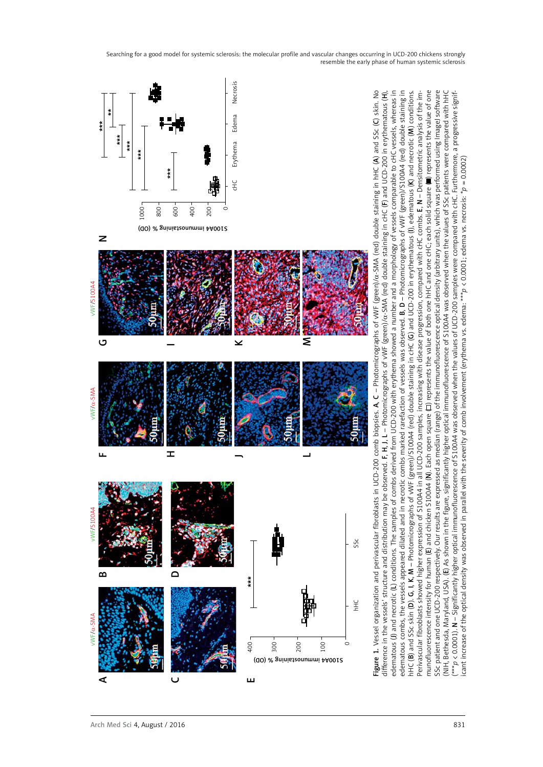Vecrosis



α-SMA (red) double staining in hHC (A) and SSc (C) skin. No difference in the vessels' structure and distribution may be observed. F, H, J, L – Photomicrographs of vWF (green)/ α-SMA (red) double staining in cHC (F) and UCD-200 in erythematous (H), edematous (J) and necrotic (L) conditions. The samples of combs derived from UCD-200 with erythema showed a number and a morphology of vessels comparable to cHC vessels, whereas in edematous combs, the vessels appeared dilated and in necrotic combs marked rarefaction of vessels was observed. B, D – Photomicrographs of vWF (green)/S100A4 (red) double staining in hHC (B) and SSc skin (D). G, I, K, M – Photomicrographs of vWF (green)/S100A4 (red) double staining in cHC (G) and UCD-200 in erythematous (I), edematous (K) and necrotic ( M) conditions. Perivascular fibroblasts showed higher expression of S100A4 in all UCD-200 samples, increasing with disease progression, compared with cHC combs. E, N – Densitometric analysis of the immunofluorescence intensity for human (E) and chicken S100A4 (N). Each open square (  $\Box$ ) represents the value of both one hHC and one cHC; each solid square (  $\Box$ ) represents the value of one SSc patient and one UCD-200 respectively. Our results are expressed as median (range) of the immunofluorescence optical density (arbitrary units), which was performed using ImageJ software (NIH, Bethesda, Maryland, USA). (E) As shown in the figure, significantly higher optical immunofluorescence of S100A4 was observed when the values of SSc patients were compared with hHC (\*\*\**p* < 0.0001). N – Significantly higher optical immunofluorescence of S100A4 was observed when the values of UCD-200 samples were compared with cHC. Furthermore, a progressive significant increase of the optical density was observed in parallel with the severity of comb involvement (erythema vs. edema: \*\*\**p* < 0.0001; edema vs. necrosis: \**p* = 0.0002)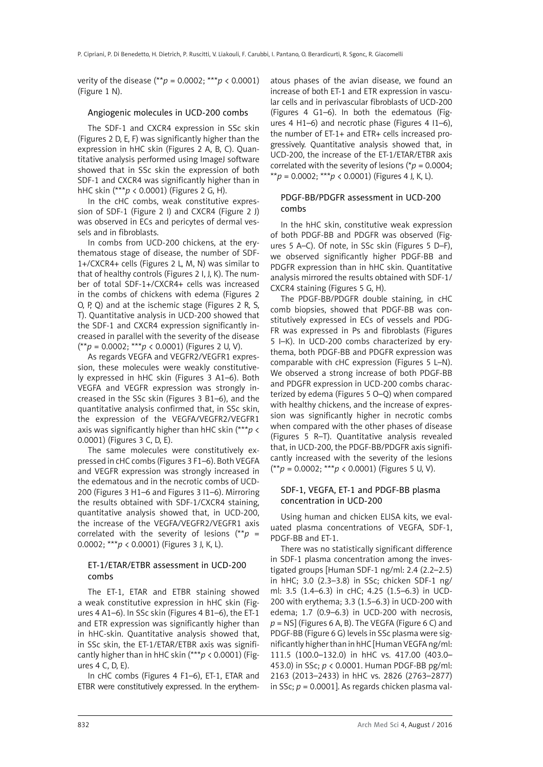verity of the disease (\*\**p* = 0.0002; \*\*\**p* < 0.0001) (Figure 1 N).

#### Angiogenic molecules in UCD-200 combs

The SDF-1 and CXCR4 expression in SSc skin (Figures 2 D, E, F) was significantly higher than the expression in hHC skin (Figures 2 A, B, C). Quantitative analysis performed using ImageJ software showed that in SSc skin the expression of both SDF-1 and CXCR4 was significantly higher than in hHC skin (\*\*\**p* < 0.0001) (Figures 2 G, H).

In the cHC combs, weak constitutive expression of SDF-1 (Figure 2 I) and CXCR4 (Figure 2 J) was observed in ECs and pericytes of dermal vessels and in fibroblasts.

In combs from UCD-200 chickens, at the erythematous stage of disease, the number of SDF-1+/CXCR4+ cells (Figures 2 L, M, N) was similar to that of healthy controls (Figures 2 I, J, K). The number of total SDF-1+/CXCR4+ cells was increased in the combs of chickens with edema (Figures 2 O, P, Q) and at the ischemic stage (Figures 2 R, S, T). Quantitative analysis in UCD-200 showed that the SDF-1 and CXCR4 expression significantly increased in parallel with the severity of the disease (\*\**p* = 0.0002; \*\*\**p* < 0.0001) (Figures 2 U, V).

As regards VEGFA and VEGFR2/VEGFR1 expression, these molecules were weakly constitutively expressed in hHC skin (Figures 3 A1–6). Both VEGFA and VEGFR expression was strongly increased in the SSc skin (Figures 3 B1–6), and the quantitative analysis confirmed that, in SSc skin, the expression of the VEGFA/VEGFR2/VEGFR1 axis was significantly higher than hHC skin (\*\*\**p* < 0.0001) (Figures 3 C, D, E).

The same molecules were constitutively expressed in cHC combs (Figures 3 F1–6). Both VEGFA and VEGFR expression was strongly increased in the edematous and in the necrotic combs of UCD-200 (Figures 3 H1–6 and Figures 3 I1–6). Mirroring the results obtained with SDF-1/CXCR4 staining, quantitative analysis showed that, in UCD-200, the increase of the VEGFA/VEGFR2/VEGFR1 axis correlated with the severity of lesions (\*\**p* = 0.0002; \*\*\**p* < 0.0001) (Figures 3 J, K, L).

#### ET-1/ETAR/ETBR assessment in UCD-200 combs

The ET-1, ETAR and ETBR staining showed a weak constitutive expression in hHC skin (Figures 4 A1–6). In SSc skin (Figures 4 B1–6), the ET-1 and ETR expression was significantly higher than in hHC-skin. Quantitative analysis showed that, in SSc skin, the ET-1/ETAR/ETBR axis was significantly higher than in hHC skin (\*\*\**p* < 0.0001) (Figures 4 C, D, E).

In cHC combs (Figures 4 F1–6), ET-1, ETAR and ETBR were constitutively expressed. In the erythematous phases of the avian disease, we found an increase of both ET-1 and ETR expression in vascular cells and in perivascular fibroblasts of UCD-200 (Figures 4 G1–6). In both the edematous (Figures 4 H1–6) and necrotic phase (Figures 4 I1–6), the number of ET-1+ and ETR+ cells increased progressively. Quantitative analysis showed that, in UCD-200, the increase of the ET-1/ETAR/ETBR axis correlated with the severity of lesions (\**p* = 0.0004; \*\**p* = 0.0002; \*\*\**p* < 0.0001) (Figures 4 J, K, L).

# PDGF-BB/PDGFR assessment in UCD-200 combs

In the hHC skin, constitutive weak expression of both PDGF-BB and PDGFR was observed (Figures 5 A–C). Of note, in SSc skin (Figures 5 D–F), we observed significantly higher PDGF-BB and PDGFR expression than in hHC skin. Quantitative analysis mirrored the results obtained with SDF-1/ CXCR4 staining (Figures 5 G, H).

The PDGF-BB/PDGFR double staining, in cHC comb biopsies, showed that PDGF-BB was constitutively expressed in ECs of vessels and PDG-FR was expressed in Ps and fibroblasts (Figures 5 I–K). In UCD-200 combs characterized by erythema, both PDGF-BB and PDGFR expression was comparable with cHC expression (Figures 5 L–N). We observed a strong increase of both PDGF-BB and PDGFR expression in UCD-200 combs characterized by edema (Figures 5 O–Q) when compared with healthy chickens, and the increase of expression was significantly higher in necrotic combs when compared with the other phases of disease (Figures 5 R–T). Quantitative analysis revealed that, in UCD-200, the PDGF-BB/PDGFR axis significantly increased with the severity of the lesions (\*\**p* = 0.0002; \*\*\**p* < 0.0001) (Figures 5 U, V).

# SDF-1, VEGFA, ET-1 and PDGF-BB plasma concentration in UCD-200

Using human and chicken ELISA kits, we evaluated plasma concentrations of VEGFA, SDF-1, PDGF-BB and ET-1.

There was no statistically significant difference in SDF-1 plasma concentration among the investigated groups [Human SDF-1 ng/ml: 2.4 (2.2–2.5) in hHC; 3.0 (2.3–3.8) in SSc; chicken SDF-1 ng/ ml: 3.5 (1.4–6.3) in cHC; 4.25 (1.5–6.3) in UCD-200 with erythema; 3.3 (1.5–6.3) in UCD-200 with edema; 1.7 (0.9–6.3) in UCD-200 with necrosis, *p* = NS] (Figures 6 A, B). The VEGFA (Figure 6 C) and PDGF-BB (Figure 6 G) levels in SSc plasma were significantly higher than in hHC [Human VEGFA ng/ml: 111.5 (100.0–132.0) in hHC vs. 417.00 (403.0– 453.0) in SSc; *p* < 0.0001. Human PDGF-BB pg/ml: 2163 (2013–2433) in hHC vs. 2826 (2763–2877) in SSc; *p* = 0.0001]. As regards chicken plasma val-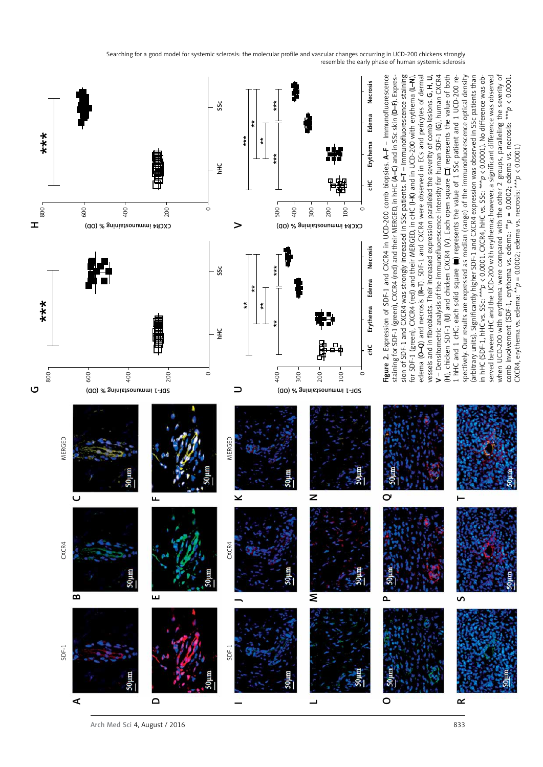Figure 2. Expression of SDF-1 and CXCR4 in UCD-200 comb biopsies. A–F – Immunofluorescence sion of SDF-1 and CXCR4 was strongly increased in SSc patients. I–T – Immunofluorescence staining for SDF-1 (green), CXCR4 (red) and their MERGED, in cHC (I-K) and in UCD-200 with erythema (L–N), edema (O–Q) and necrosis (R–T). SDF-1 and CXCR4 were observed in ECs and pericytes of dermal vessels and in fibroblasts. Their increased expression paralleled the severity of comb lesions. G, H, U, **V** – Densitometric analysis of the immunofluorescence intensity for human SDF-1 (G), human CXCR4 (H), chicken SDF-1 (U) and chicken CXCR4 (V). Each open square ( $\square$ ) represents the value of both spectively. Our results are expressed as median (range) of the immunofluorescence optical density (arbitrary units). Significantly higher SDF-1 and CXCR4 expression was observed in SSc patients than served between cHC and the UCD-200 with erythema; however, a significant difference was observed when UCD-200 with erythema were compared with the other 2 groups, paralleling the severity of comb involvement (SDF-1, erythema vs. edema: \*\**p* = 0.0002; edema vs. necrosis: \*\*\**p* < 0.0001. H), chicken SDF-1 (U) and chicken CXCR4 (V). Each open square  $\Box$  represents the value of both hHC and 1 cHC; each solid square ( ) represents the value of 1 SSc patient and 1 UCD-200 rearbitrary units). Significantly higher SDF-1 and CXCR4 expression was observed in SSc patients than served between cHC and the UCD-200 with erythema; however, a significant difference was observed when UCD-200 with erythema were compared with the other 2 groups, paralleling the severity of staining for SDF-1 (green), CXCR4 (red) and their MERGED, in hHC (A–C) and in SSc skin (D–F). Expres- $\sin$  of SDF-1 and CXCR4 was strongly increased in SSc patients. I–T – Immunofluorescence staining 1 hHC and 1 cHC; each solid square ( ) represents the value of 1 SSc patient and 1 UCD-200 repectively. Our results are expressed as median (range) of the immunofluorescence optical density in hHC (SDF-1, hHC vs. SSc: \*\*\**p* < 0.0001. CXCR4, hHC vs. SSc: \*\*\**p* < 0.0001). No difference was ob-Figure 2. Expression of SDF-1 and CXCR4 in UCD-200 comb biopsies.  $A$ -F - Immunofluorescence staining for SDF-1 (green), CXCR4 (red) and their MERGED, in hHC (**A–C**) and in SSc skin (**D–F**). Expresor SDF-1 (green), CXCR4 (red) and their MERGED, in cHC (I-K) and in UCD-200 with erythema (L–N) edema (O-Q) and necrosis (R-T). SDF-1 and CXCR4 were observed in ECs and pericytes of dermal  $\epsilon$ essels and in fibroblasts. Their increased expression paralleled the severity of comb lesions.  $G, H, U$  $I$  – Densitometric analysis of the immunofluorescence intensity for human SDF-1 (G), human CXCR4 \*\*\*p < 0.0001. CXCR4, hHC vs. SSc: \*\*\*p < 0.0001). No difference was obcomb involvement (SDF-1, erythema vs. edema:  $^{**}$  $p=0.0002$ ; edema vs. necrosis:  $^{***}$ p < 0.0001  $XCR4$ , erytherna vs. edema:  $*^{\star}\mathcal{p} = 0.0002$ ; edema vs. necrosis:  $^{***}\mathcal{p} < 0.0001$ ) CXCR4, erythema vs. edema: \*\**p* = 0.0002; edema vs. necrosis: \*\*\**p* < 0.0001) n hHC (SDF-1, hHC vs. SSc:



Searching for a good model for systemic sclerosis: the molecular profile and vascular changes occurring in UCD-200 chickens strongly resemble the early phase of human systemic sclerosis

Arch Med Sci 4, August / 2016 833

G

800

 $***$ 

**H** 

800

 $***$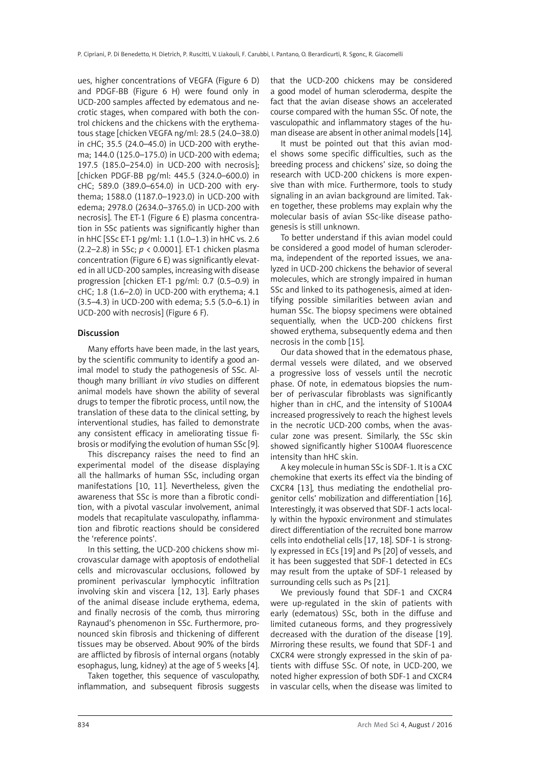ues, higher concentrations of VEGFA (Figure 6 D) and PDGF-BB (Figure 6 H) were found only in UCD-200 samples affected by edematous and necrotic stages, when compared with both the control chickens and the chickens with the erythematous stage [chicken VEGFA ng/ml: 28.5 (24.0–38.0) in cHC; 35.5 (24.0–45.0) in UCD-200 with erythema; 144.0 (125.0–175.0) in UCD-200 with edema; 197.5 (185.0–254.0) in UCD-200 with necrosis]; [chicken PDGF-BB pg/ml: 445.5 (324.0–600.0) in cHC; 589.0 (389.0–654.0) in UCD-200 with erythema; 1588.0 (1187.0–1923.0) in UCD-200 with edema; 2978.0 (2634.0–3765.0) in UCD-200 with necrosis]. The ET-1 (Figure 6 E) plasma concentration in SSc patients was significantly higher than in hHC [SSc ET-1 pg/ml: 1.1 (1.0–1.3) in hHC vs. 2.6 (2.2–2.8) in SSc; *p* < 0.0001]. ET-1 chicken plasma concentration (Figure 6 E) was significantly elevated in all UCD-200 samples, increasing with disease progression [chicken ET-1 pg/ml: 0.7 (0.5–0.9) in cHC; 1.8 (1.6–2.0) in UCD-200 with erythema; 4.1 (3.5–4.3) in UCD-200 with edema; 5.5 (5.0–6.1) in UCD-200 with necrosis] (Figure 6 F).

#### Discussion

Many efforts have been made, in the last years, by the scientific community to identify a good animal model to study the pathogenesis of SSc. Although many brilliant *in vivo* studies on different animal models have shown the ability of several drugs to temper the fibrotic process, until now, the translation of these data to the clinical setting, by interventional studies, has failed to demonstrate any consistent efficacy in ameliorating tissue fibrosis or modifying the evolution of human SSc [9].

This discrepancy raises the need to find an experimental model of the disease displaying all the hallmarks of human SSc, including organ manifestations [10, 11]. Nevertheless, given the awareness that SSc is more than a fibrotic condition, with a pivotal vascular involvement, animal models that recapitulate vasculopathy, inflammation and fibrotic reactions should be considered the 'reference points'.

In this setting, the UCD-200 chickens show microvascular damage with apoptosis of endothelial cells and microvascular occlusions, followed by prominent perivascular lymphocytic infiltration involving skin and viscera [12, 13]. Early phases of the animal disease include erythema, edema, and finally necrosis of the comb, thus mirroring Raynaud's phenomenon in SSc. Furthermore, pronounced skin fibrosis and thickening of different tissues may be observed. About 90% of the birds are afflicted by fibrosis of internal organs (notably esophagus, lung, kidney) at the age of 5 weeks [4].

Taken together, this sequence of vasculopathy, inflammation, and subsequent fibrosis suggests that the UCD-200 chickens may be considered a good model of human scleroderma, despite the fact that the avian disease shows an accelerated course compared with the human SSc. Of note, the vasculopathic and inflammatory stages of the human disease are absent in other animal models [14].

It must be pointed out that this avian model shows some specific difficulties, such as the breeding process and chickens' size, so doing the research with UCD-200 chickens is more expensive than with mice. Furthermore, tools to study signaling in an avian background are limited. Taken together, these problems may explain why the molecular basis of avian SSc-like disease pathogenesis is still unknown.

To better understand if this avian model could be considered a good model of human scleroderma, independent of the reported issues, we analyzed in UCD-200 chickens the behavior of several molecules, which are strongly impaired in human SSc and linked to its pathogenesis, aimed at identifying possible similarities between avian and human SSc. The biopsy specimens were obtained sequentially, when the UCD-200 chickens first showed erythema, subsequently edema and then necrosis in the comb [15].

Our data showed that in the edematous phase, dermal vessels were dilated, and we observed a progressive loss of vessels until the necrotic phase. Of note, in edematous biopsies the number of perivascular fibroblasts was significantly higher than in cHC, and the intensity of S100A4 increased progressively to reach the highest levels in the necrotic UCD-200 combs, when the avascular zone was present. Similarly, the SSc skin showed significantly higher S100A4 fluorescence intensity than hHC skin.

A key molecule in human SSc is SDF-1. It is a CXC chemokine that exerts its effect via the binding of CXCR4 [13], thus mediating the endothelial progenitor cells' mobilization and differentiation [16]. Interestingly, it was observed that SDF-1 acts locally within the hypoxic environment and stimulates direct differentiation of the recruited bone marrow cells into endothelial cells [17, 18]. SDF-1 is strongly expressed in ECs [19] and Ps [20] of vessels, and it has been suggested that SDF-1 detected in ECs may result from the uptake of SDF-1 released by surrounding cells such as Ps [21].

We previously found that SDF-1 and CXCR4 were up-regulated in the skin of patients with early (edematous) SSc, both in the diffuse and limited cutaneous forms, and they progressively decreased with the duration of the disease [19]. Mirroring these results, we found that SDF-1 and CXCR4 were strongly expressed in the skin of patients with diffuse SSc. Of note, in UCD-200, we noted higher expression of both SDF-1 and CXCR4 in vascular cells, when the disease was limited to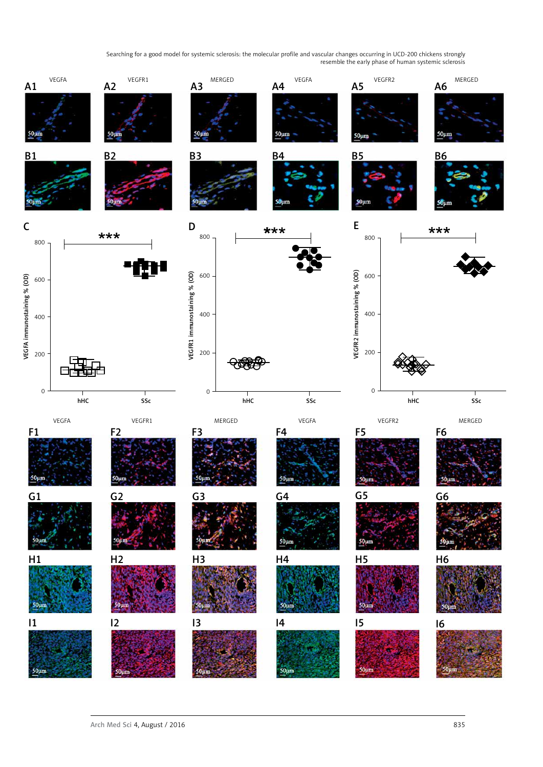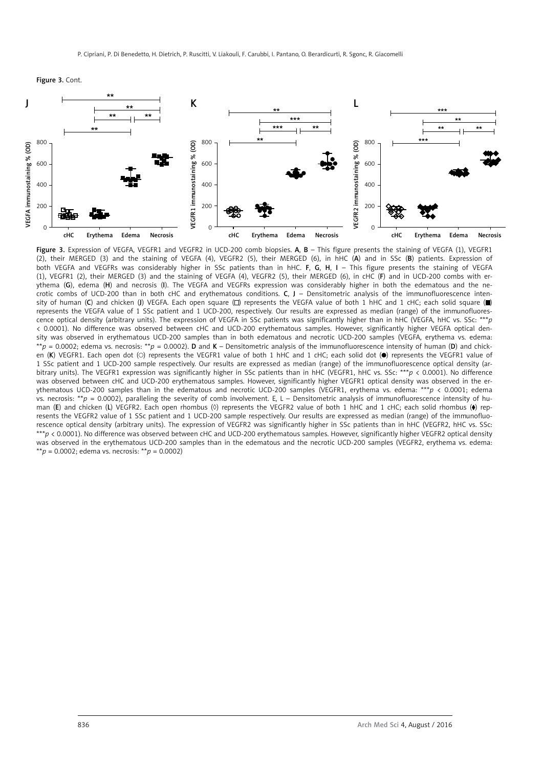

Figure 3. Expression of VEGFA, VEGFR1 and VEGFR2 in UCD-200 comb biopsies. A, B - This figure presents the staining of VEGFA (1), VEGFR1 (2), their MERGED (3) and the staining of VEGFA (4), VEGFR2 (5), their MERGED (6), in hHC (A) and in SSc (B) patients. Expression of both VEGFA and VEGFRs was considerably higher in SSc patients than in hHC. F, G, H, I - This figure presents the staining of VEGFA (1), VEGFR1 (2), their MERGED (3) and the staining of VEGFA (4), VEGFR2 (5), their MERGED (6), in cHC (F) and in UCD-200 combs with erythema (G), edema (H) and necrosis (I). The VEGFA and VEGFRs expression was considerably higher in both the edematous and the necrotic combs of UCD-200 than in both cHC and erythematous conditions. C, J – Densitometric analysis of the immunofluorescence intensity of human (C) and chicken (J) VEGFA. Each open square  $\Box$  represents the VEGFA value of both 1 hHC and 1 cHC; each solid square  $\Box$ represents the VEGFA value of 1 SSc patient and 1 UCD-200, respectively. Our results are expressed as median (range) of the immunofluorescence optical density (arbitrary units). The expression of VEGFA in SSc patients was significantly higher than in hHC (VEGFA, hHC vs. SSc: \*\*\**p* < 0.0001). No difference was observed between cHC and UCD-200 erythematous samples. However, significantly higher VEGFA optical density was observed in erythematous UCD-200 samples than in both edematous and necrotic UCD-200 samples (VEGFA, erythema vs. edema: \*\**p* = 0.0002; edema vs. necrosis: \*\**p* = 0.0002). D and K – Densitometric analysis of the immunofluorescence intensity of human (D) and chicken (K) VEGFR1. Each open dot (O) represents the VEGFR1 value of both 1 hHC and 1 cHC; each solid dot (.) represents the VEGFR1 value of 1 SSc patient and 1 UCD-200 sample respectively. Our results are expressed as median (range) of the immunofluorescence optical density (arbitrary units). The VEGFR1 expression was significantly higher in SSc patients than in hHC (VEGFR1, hHC vs. SSc: \*\*\**p* < 0.0001). No difference was observed between cHC and UCD-200 erythematous samples. However, significantly higher VEGFR1 optical density was observed in the erythematous UCD-200 samples than in the edematous and necrotic UCD-200 samples (VEGFR1, erythema vs. edema: \*\*\**p* < 0.0001; edema vs. necrosis: \*\**p* = 0.0002), paralleling the severity of comb involvement. E, L – Densitometric analysis of immunofluorescence intensity of human (E) and chicken (L) VEGFR2. Each open rhombus (0) represents the VEGFR2 value of both 1 hHC and 1 cHC; each solid rhombus (+) represents the VEGFR2 value of 1 SSc patient and 1 UCD-200 sample respectively. Our results are expressed as median (range) of the immunofluorescence optical density (arbitrary units). The expression of VEGFR2 was significantly higher in SSc patients than in hHC (VEGFR2, hHC vs. SSc: \*\*\* $p$  < 0.0001). No difference was observed between cHC and UCD-200 erythematous samples. However, significantly higher VEGFR2 optical density was observed in the erythematous UCD-200 samples than in the edematous and the necrotic UCD-200 samples (VEGFR2, erythema vs. edema: \*\**p* = 0.0002; edema vs. necrosis: \*\**p* = 0.0002)

Figure 3. Cont.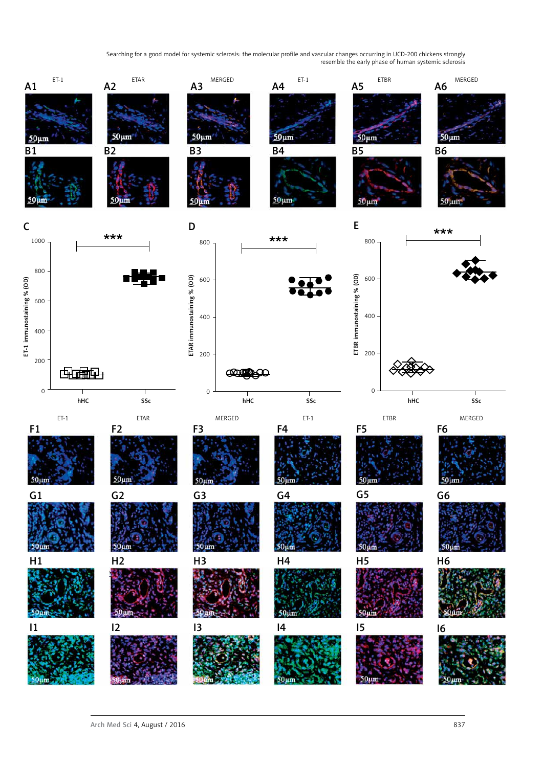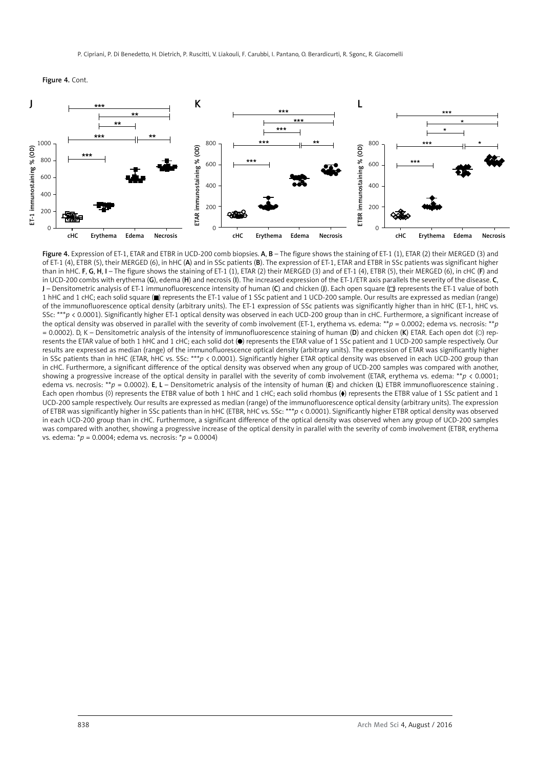Figure 4. Cont.



Figure 4. Expression of ET-1, ETAR and ETBR in UCD-200 comb biopsies. A, B – The figure shows the staining of ET-1 (1), ETAR (2) their MERGED (3) and of ET-1 (4), ETBR (5), their MERGED (6), in hHC (A) and in SSc patients (B). The expression of ET-1, ETAR and ETBR in SSc patients was significant higher than in hHC. F, G, H, I – The figure shows the staining of ET-1 (1), ETAR (2) their MERGED (3) and of ET-1 (4), ETBR (5), their MERGED (6), in cHC (F) and in UCD-200 combs with erythema (G), edema (H) and necrosis (I). The increased expression of the ET-1/ETR axis parallels the severity of the disease. C, J – Densitometric analysis of ET-1 immunofluorescence intensity of human (C) and chicken (J). Each open square  $\Box$ ) represents the ET-1 value of both 1 hHC and 1 cHC; each solid square ( $\blacksquare$ ) represents the ET-1 value of 1 SSc patient and 1 UCD-200 sample. Our results are expressed as median (range) of the immunofluorescence optical density (arbitrary units). The ET-1 expression of SSc patients was significantly higher than in hHC (ET-1, hHC vs. SSc: \*\*\**p* < 0.0001). Significantly higher ET-1 optical density was observed in each UCD-200 group than in cHC. Furthermore, a significant increase of the optical density was observed in parallel with the severity of comb involvement (ET-1, erythema vs. edema: \*\**p* = 0.0002; edema vs. necrosis: \*\**p*  $= 0.0002$ ). D, K – Densitometric analysis of the intensity of immunofluorescence staining of human (D) and chicken (K) ETAR. Each open dot (O) represents the ETAR value of both 1 hHC and 1 cHC; each solid dot (.) represents the ETAR value of 1 SSc patient and 1 UCD-200 sample respectively. Our results are expressed as median (range) of the immunofluorescence optical density (arbitrary units). The expression of ETAR was significantly higher in SSc patients than in hHC (ETAR, hHC vs. SSc: \*\*\**p* < 0.0001). Significantly higher ETAR optical density was observed in each UCD-200 group than in cHC. Furthermore, a significant difference of the optical density was observed when any group of UCD-200 samples was compared with another, showing a progressive increase of the optical density in parallel with the severity of comb involvement (ETAR, erythema vs. edema: \*\**p* < 0.0001; edema vs. necrosis: \*\*p = 0.0002). **E**, L – Densitometric analysis of the intensity of human (**E**) and chicken (L) ETBR immunofluorescence staining . Each open rhombus (0) represents the ETBR value of both 1 hHC and 1 cHC; each solid rhombus ( $\bullet$ ) represents the ETBR value of 1 SSc patient and 1 UCD-200 sample respectively. Our results are expressed as median (range) of the immunofluorescence optical density (arbitrary units). The expression of ETBR was significantly higher in SSc patients than in hHC (ETBR, hHC vs. SSc: \*\*\**p* < 0.0001). Significantly higher ETBR optical density was observed in each UCD-200 group than in cHC. Furthermore, a significant difference of the optical density was observed when any group of UCD-200 samples was compared with another, showing a progressive increase of the optical density in parallel with the severity of comb involvement (ETBR, erythema vs. edema: \**p* = 0.0004; edema vs. necrosis: \**p* = 0.0004)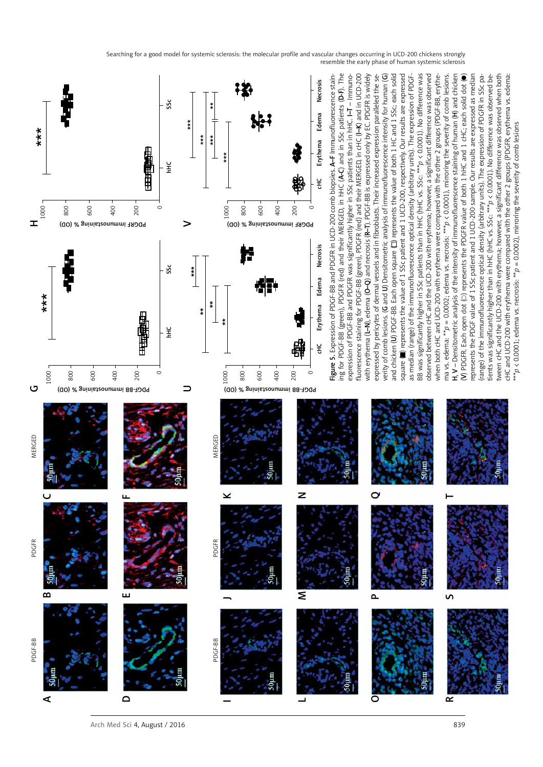

Arch Med Sci 4, August / 2016 839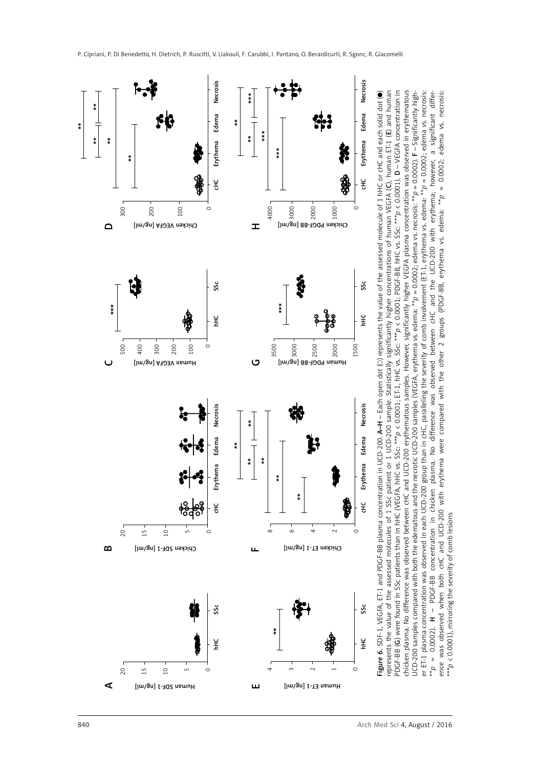

PDGF-BB (G) were found in SSc patients than in hHC (VEGFA, hHC vs. SSc. \*\*\*p < 0.0001; ET-1, hHC vs. SSc. \*\*\*p < 0.0001; PDGF-BB, hHC vs. SSc. \*\*\*p < 0.0001). D – VEGFA concentration in PDGF-BB (G) were found in SSc patients than in hHC (VEGFA, hHC vs. SSc: \*\*\**p* < 0.0001; ET-1, hHC vs. SSc: \*\*\**p* < 0.0001; PDGF-BB, hHC vs. SSc: \*\*\**p* < 0.0001). D – VEGFA concentration in chicken plasma. No difference was observed between cHC and UCD-200 erythematous samples. However, significantly higher VEGFA plasma concentration was observed in erythematous er ET-1 plasma concentration was observed in each UCD-200 group than in cHC, paralleling the severity of comb involvement (ET-1, erythema vs. edema: \*\*p = 0.0002; edema vs. necrosis: er ET-1 plasma concentration was observed in each UCD-200 group than in cHC, paralleling the severity of comb involvement (ET-1, erythema vs. edema: \*\**p* = 0.0002; edema vs. necrosis: ence was observed when both cHC and UCD-200 with erythema were compared with the other 2 groups (PDGF-BB, erythema vs. edema: \*\**p* = 0.0002; edema vs. necrosis: chicken plasma. No difference was observed between cHC and UCD-200 erythematous samples. However, significantly higher VEGFA plasma concentration was observed in erythematous – PDGF-BB concentration in chicken plasma. No difference was observed between cHC and the UCD-200 with erythema; however, a significant difference was observed when both cHC and UCD-200 with erythema were compared with the other 2 groups (PDGF-BB, erythema vs. edema:  $*p = 0.0002$ ; edema vs. necrosis: UCD-200 samples compared with both the edematous and the necrotic UCD-200 samples (VEGFA, erythema vs. edema: \*\*p = 0.0002; edema vs. necrosis: \*\*p = 0.0002). F – Significantly high-UCD-200 samples compared with both the edematous and the necrotic UCD-200 samples (VEGFA, erythema vs. edema: \*\**p* = 0.0002; edema vs. necrosis: \*\**p* = 0.0002). F – Significantly high-\*\**p* = 0.0002). H – PDGF-BB concentration in chicken plasma. No difference was observed between cHC and the UCD-200 with erythema; however, a significant differ- $A^{*}\rho$  < 0.0001), mirroring the severity of comb lesions \*\*\**p* < 0.0001), mirroring the severity of comb lesions  $\mu_{p} = 0.0002$ . H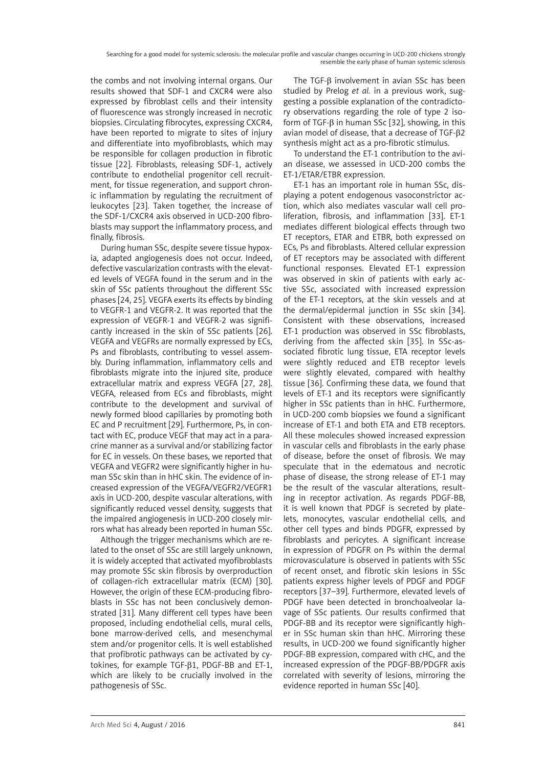the combs and not involving internal organs. Our results showed that SDF-1 and CXCR4 were also expressed by fibroblast cells and their intensity of fluorescence was strongly increased in necrotic biopsies. Circulating fibrocytes, expressing CXCR4, have been reported to migrate to sites of injury and differentiate into myofibroblasts, which may be responsible for collagen production in fibrotic tissue [22]. Fibroblasts, releasing SDF-1, actively contribute to endothelial progenitor cell recruitment, for tissue regeneration, and support chronic inflammation by regulating the recruitment of leukocytes [23]. Taken together, the increase of the SDF-1/CXCR4 axis observed in UCD-200 fibroblasts may support the inflammatory process, and finally, fibrosis.

During human SSc, despite severe tissue hypoxia, adapted angiogenesis does not occur. Indeed, defective vascularization contrasts with the elevated levels of VEGFA found in the serum and in the skin of SSc patients throughout the different SSc phases [24, 25]. VEGFA exerts its effects by binding to VEGFR-1 and VEGFR-2. It was reported that the expression of VEGFR-1 and VEGFR-2 was significantly increased in the skin of SSc patients [26]. VEGFA and VEGFRs are normally expressed by ECs, Ps and fibroblasts, contributing to vessel assembly. During inflammation, inflammatory cells and fibroblasts migrate into the injured site, produce extracellular matrix and express VEGFA [27, 28]. VEGFA, released from ECs and fibroblasts, might contribute to the development and survival of newly formed blood capillaries by promoting both EC and P recruitment [29]. Furthermore, Ps, in contact with EC, produce VEGF that may act in a paracrine manner as a survival and/or stabilizing factor for EC in vessels. On these bases, we reported that VEGFA and VEGFR2 were significantly higher in human SSc skin than in hHC skin. The evidence of increased expression of the VEGFA/VEGFR2/VEGFR1 axis in UCD-200, despite vascular alterations, with significantly reduced vessel density, suggests that the impaired angiogenesis in UCD-200 closely mirrors what has already been reported in human SSc.

Although the trigger mechanisms which are related to the onset of SSc are still largely unknown, it is widely accepted that activated myofibroblasts may promote SSc skin fibrosis by overproduction of collagen-rich extracellular matrix (ECM) [30]. However, the origin of these ECM-producing fibroblasts in SSc has not been conclusively demonstrated [31]. Many different cell types have been proposed, including endothelial cells, mural cells, bone marrow-derived cells, and mesenchymal stem and/or progenitor cells. It is well established that profibrotic pathways can be activated by cytokines, for example TGF-β1, PDGF-BB and ET-1, which are likely to be crucially involved in the pathogenesis of SSc.

The TGF-β involvement in avian SSc has been studied by Prelog *et al.* in a previous work, suggesting a possible explanation of the contradictory observations regarding the role of type 2 isoform of TGF-β in human SSc [32], showing, in this avian model of disease, that a decrease of TGF-β2 synthesis might act as a pro-fibrotic stimulus.

To understand the ET-1 contribution to the avian disease, we assessed in UCD-200 combs the ET-1/ETAR/ETBR expression.

ET-1 has an important role in human SSc, displaying a potent endogenous vasoconstrictor action, which also mediates vascular wall cell proliferation, fibrosis, and inflammation [33]. ET-1 mediates different biological effects through two ET receptors, ETAR and ETBR, both expressed on ECs, Ps and fibroblasts. Altered cellular expression of ET receptors may be associated with different functional responses. Elevated ET-1 expression was observed in skin of patients with early active SSc, associated with increased expression of the ET-1 receptors, at the skin vessels and at the dermal/epidermal junction in SSc skin [34]. Consistent with these observations, increased ET-1 production was observed in SSc fibroblasts, deriving from the affected skin [35]. In SSc-associated fibrotic lung tissue, ETA receptor levels were slightly reduced and ETB receptor levels were slightly elevated, compared with healthy tissue [36]. Confirming these data, we found that levels of ET-1 and its receptors were significantly higher in SSc patients than in hHC. Furthermore, in UCD-200 comb biopsies we found a significant increase of ET-1 and both ETA and ETB receptors. All these molecules showed increased expression in vascular cells and fibroblasts in the early phase of disease, before the onset of fibrosis. We may speculate that in the edematous and necrotic phase of disease, the strong release of ET-1 may be the result of the vascular alterations, resulting in receptor activation. As regards PDGF-BB, it is well known that PDGF is secreted by platelets, monocytes, vascular endothelial cells, and other cell types and binds PDGFR, expressed by fibroblasts and pericytes. A significant increase in expression of PDGFR on Ps within the dermal microvasculature is observed in patients with SSc of recent onset, and fibrotic skin lesions in SSc patients express higher levels of PDGF and PDGF receptors [37–39]. Furthermore, elevated levels of PDGF have been detected in bronchoalveolar lavage of SSc patients. Our results confirmed that PDGF-BB and its receptor were significantly higher in SSc human skin than hHC. Mirroring these results, in UCD-200 we found significantly higher PDGF-BB expression, compared with cHC, and the increased expression of the PDGF-BB/PDGFR axis correlated with severity of lesions, mirroring the evidence reported in human SSc [40].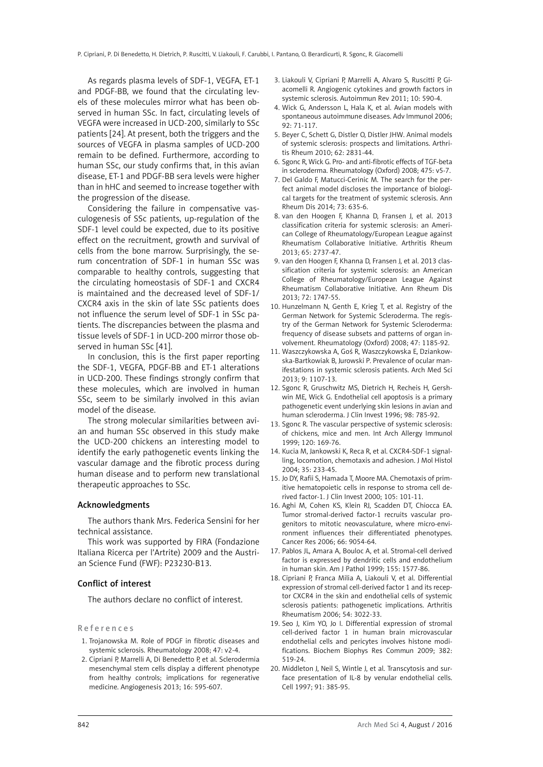As regards plasma levels of SDF-1, VEGFA, ET-1 and PDGF-BB, we found that the circulating levels of these molecules mirror what has been observed in human SSc. In fact, circulating levels of VEGFA were increased in UCD-200, similarly to SSc patients [24]. At present, both the triggers and the sources of VEGFA in plasma samples of UCD-200 remain to be defined. Furthermore, according to human SSc, our study confirms that, in this avian disease, ET-1 and PDGF-BB sera levels were higher than in hHC and seemed to increase together with the progression of the disease.

Considering the failure in compensative vasculogenesis of SSc patients, up-regulation of the SDF-1 level could be expected, due to its positive effect on the recruitment, growth and survival of cells from the bone marrow. Surprisingly, the serum concentration of SDF-1 in human SSc was comparable to healthy controls, suggesting that the circulating homeostasis of SDF-1 and CXCR4 is maintained and the decreased level of SDF-1/ CXCR4 axis in the skin of late SSc patients does not influence the serum level of SDF-1 in SSc patients. The discrepancies between the plasma and tissue levels of SDF-1 in UCD-200 mirror those observed in human SSc [41].

In conclusion, this is the first paper reporting the SDF-1, VEGFA, PDGF-BB and ET-1 alterations in UCD-200. These findings strongly confirm that these molecules, which are involved in human SSc, seem to be similarly involved in this avian model of the disease.

The strong molecular similarities between avian and human SSc observed in this study make the UCD-200 chickens an interesting model to identify the early pathogenetic events linking the vascular damage and the fibrotic process during human disease and to perform new translational therapeutic approaches to SSc.

#### Acknowledgments

The authors thank Mrs. Federica Sensini for her technical assistance.

This work was supported by FIRA (Fondazione Italiana Ricerca per l'Artrite) 2009 and the Austrian Science Fund (FWF): P23230-B13.

#### Conflict of interest

The authors declare no conflict of interest.

#### References

- 1. Trojanowska M. Role of PDGF in fibrotic diseases and systemic sclerosis. Rheumatology 2008; 47: v2-4.
- 2. Cipriani P, Marrelli A, Di Benedetto P, et al. Sclerodermia mesenchymal stem cells display a different phenotype from healthy controls; implications for regenerative medicine. Angiogenesis 2013; 16: 595-607.
- 3. [Liakouli V](http://www.ncbi.nlm.nih.gov/pubmed?term=Liakouli V%5BAuthor%5D&cauthor=true&cauthor_uid=21549861), [Cipriani P](http://www.ncbi.nlm.nih.gov/pubmed?term=Cipriani P%5BAuthor%5D&cauthor=true&cauthor_uid=21549861), [Marrelli A,](http://www.ncbi.nlm.nih.gov/pubmed?term=Marrelli A%5BAuthor%5D&cauthor=true&cauthor_uid=21549861) [Alvaro S](http://www.ncbi.nlm.nih.gov/pubmed?term=Alvaro S%5BAuthor%5D&cauthor=true&cauthor_uid=21549861), [Ruscitti P,](http://www.ncbi.nlm.nih.gov/pubmed?term=Ruscitti P%5BAuthor%5D&cauthor=true&cauthor_uid=21549861) [Gi](http://www.ncbi.nlm.nih.gov/pubmed?term=Giacomelli R%5BAuthor%5D&cauthor=true&cauthor_uid=21549861)[acomelli R.](http://www.ncbi.nlm.nih.gov/pubmed?term=Giacomelli R%5BAuthor%5D&cauthor=true&cauthor_uid=21549861) Angiogenic cytokines and growth factors in systemic sclerosis. [Autoimmun Rev 2](http://www.ncbi.nlm.nih.gov/pubmed/21549861)011; 10: 590-4.
- 4. Wick G, Andersson L, Hala K, et al. Avian models with spontaneous autoimmune diseases. Adv Immunol 2006; 92: 71-117.
- 5. Beyer C, Schett G, Distler O, Distler JHW. Animal models of systemic sclerosis: prospects and limitations. Arthritis Rheum 2010; 62: 2831-44.
- 6. [Sgonc R](http://www.ncbi.nlm.nih.gov/pubmed?term=Sgonc R%5BAuthor%5D&cauthor=true&cauthor_uid=18784145), [Wick G](http://www.ncbi.nlm.nih.gov/pubmed?term=Wick G%5BAuthor%5D&cauthor=true&cauthor_uid=18784145). Pro- and anti-fibrotic effects of TGF-beta in scleroderma. [Rheumatology \(Oxford\)](http://www.ncbi.nlm.nih.gov/pubmed/?term=Pro-+and+anti-fibrotic+effects+of+TGF-%01+in+scleroderma) 2008; 475: v5-7.
- 7. [Del Galdo F](http://www.ncbi.nlm.nih.gov/pubmed?term=Del Galdo F%5BAuthor%5D&cauthor=true&cauthor_uid=24257026), [Matucci-Cerinic M](http://www.ncbi.nlm.nih.gov/pubmed?term=Matucci-Cerinic M%5BAuthor%5D&cauthor=true&cauthor_uid=24257026). The search for the perfect animal model discloses the importance of biological targets for the treatment of systemic sclerosis. [Ann](http://www.ncbi.nlm.nih.gov/pubmed/?term=The+search+for+the+perfect+animal+model+discloses+the+importance+of+biological+targets+for+the+treatment+of+systemic+sclerosis) [Rheum Dis 2](http://www.ncbi.nlm.nih.gov/pubmed/?term=The+search+for+the+perfect+animal+model+discloses+the+importance+of+biological+targets+for+the+treatment+of+systemic+sclerosis)014; 73: 635-6.
- 8. van den Hoogen F, Khanna D, Fransen J, et al. 2013 classification criteria for systemic sclerosis: an American College of Rheumatology/European League against Rheumatism Collaborative Initiative. Arthritis Rheum 2013; 65: 2737-47.
- 9. van den Hoogen F, Khanna D, Fransen J, et al. 2013 classification criteria for systemic sclerosis: an American College of Rheumatology/European League Against Rheumatism Collaborative Initiative. Ann Rheum Dis 2013; 72: 1747-55.
- 10. [Hunzelmann N,](http://www.ncbi.nlm.nih.gov/pubmed?term=Hunzelmann N%5BAuthor%5D&cauthor=true&cauthor_uid=18515867) [Genth E,](http://www.ncbi.nlm.nih.gov/pubmed?term=Genth E%5BAuthor%5D&cauthor=true&cauthor_uid=18515867) [Krieg T,](http://www.ncbi.nlm.nih.gov/pubmed?term=Krieg T%5BAuthor%5D&cauthor=true&cauthor_uid=18515867) et al. [Registry of the](http://www.ncbi.nlm.nih.gov/pubmed?term=Registry of the German Network for Systemic Scleroderma%5BCorporate Author%5D) [German Network for Systemic Scleroderma.](http://www.ncbi.nlm.nih.gov/pubmed?term=Registry of the German Network for Systemic Scleroderma%5BCorporate Author%5D) The registry of the German Network for Systemic Scleroderma: frequency of disease subsets and patterns of organ involvement. Rheumatology (Oxford) 2008; 47: 1185-92.
- 11. Waszczykowska A, Goś R, Waszczykowska E, Dziankowska-Bartkowiak B, Jurowski P. [Prevalence of ocular man](http://www.ncbi.nlm.nih.gov/pubmed/24482658)[ifestations in systemic sclerosis patients.](http://www.ncbi.nlm.nih.gov/pubmed/24482658) Arch Med Sci 2013; 9: 1107-13.
- 12. Sgonc R, Gruschwitz MS, Dietrich H, Recheis H, Gershwin ME, Wick G. Endothelial cell apoptosis is a primary pathogenetic event underlying skin lesions in avian and human scleroderma. J Clin Invest 1996; 98: 785-92.
- 13. Sgonc R. The vascular perspective of systemic sclerosis: of chickens, mice and men. Int Arch Allergy Immunol 1999; 120: 169-76.
- 14. [Kucia M](http://www.ncbi.nlm.nih.gov/pubmed?term=Kucia M%5BAuthor%5D&cauthor=true&cauthor_uid=15339043), [Jankowski K,](http://www.ncbi.nlm.nih.gov/pubmed?term=Jankowski K%5BAuthor%5D&cauthor=true&cauthor_uid=15339043) [Reca R](http://www.ncbi.nlm.nih.gov/pubmed?term=Reca R%5BAuthor%5D&cauthor=true&cauthor_uid=15339043), et al. CXCR4-SDF-1 signalling, locomotion, chemotaxis and adhesion. [J Mol Histol](http://www.ncbi.nlm.nih.gov/pubmed/?term=CXCR4%E2%80%93SDF-1+signalling%2C+locomotion%2C+chemotaxis+and+adhesion) 2004; 35: 233-45.
- 15. Jo DY, Rafii S, Hamada T, Moore MA. Chemotaxis of primitive hematopoietic cells in response to stroma cell derived factor-1. J Clin Invest 2000; 105: 101-11.
- 16. Aghi M, Cohen KS, Klein RJ, Scadden DT, Chiocca EA. Tumor stromal-derived factor-1 recruits vascular progenitors to mitotic neovasculature, where micro-environment influences their differentiated phenotypes. Cancer Res 2006; 66: 9054-64.
- 17. Pablos JL, Amara A, Bouloc A, et al. Stromal-cell derived factor is expressed by dendritic cells and endothelium in human skin. Am J Pathol 1999; 155: 1577-86.
- 18. Cipriani P, Franca Milia A, Liakouli V, et al. Differential expression of stromal cell-derived factor 1 and its receptor CXCR4 in the skin and endothelial cells of systemic sclerosis patients: pathogenetic implications. Arthritis Rheumatism 2006; 54: 3022-33.
- 19. [Seo J,](http://www.ncbi.nlm.nih.gov/pubmed?term=Seo J%5BAuthor%5D&cauthor=true&cauthor_uid=19289100) [Kim YO](http://www.ncbi.nlm.nih.gov/pubmed?term=Kim YO%5BAuthor%5D&cauthor=true&cauthor_uid=19289100), [Jo I](http://www.ncbi.nlm.nih.gov/pubmed?term=Jo I%5BAuthor%5D&cauthor=true&cauthor_uid=19289100). Differential expression of stromal cell-derived factor 1 in human brain microvascular endothelial cells and pericytes involves histone modifications. [Biochem Biophys Res Commun 2](http://www.ncbi.nlm.nih.gov/pubmed/?term=Differential+expression+of+stromal+cell-derived+factor+1+in+human+brain+microvascular+endothelial+cells+and+pericytes+involves+histone+modifications)009; 382: 519-24.
- 20. Middleton J, Neil S, Wintle J, et al. Transcytosis and surface presentation of IL-8 by venular endothelial cells. Cell 1997; 91: 385-95.